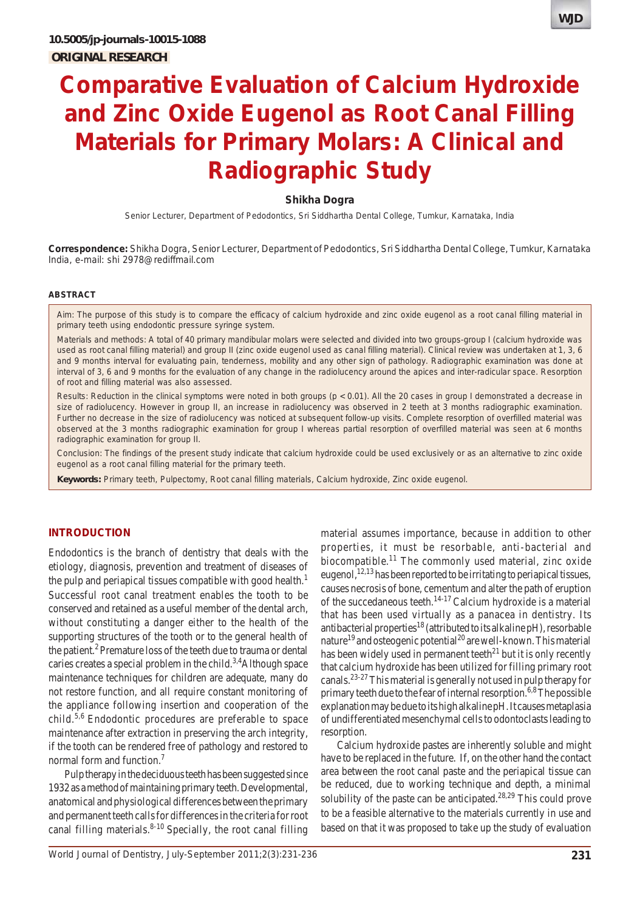

# **Comparative Evaluation of Calcium Hydroxide and Zinc Oxide Eugenol as Root Canal Filling Materials for Primary Molars: A Clinical and Radiographic Study**

### **Shikha Dogra**

Senior Lecturer, Department of Pedodontics, Sri Siddhartha Dental College, Tumkur, Karnataka, India

**Correspondence:** Shikha Dogra, Senior Lecturer, Department of Pedodontics, Sri Siddhartha Dental College, Tumkur, Karnataka India, e-mail: shi 2978@rediffmail.com

#### **ABSTRACT**

*Aim*: The purpose of this study is to compare the efficacy of calcium hydroxide and zinc oxide eugenol as a root canal filling material in primary teeth using endodontic pressure syringe system.

*Materials and methods*: A total of 40 primary mandibular molars were selected and divided into two groups-group I (calcium hydroxide was used as root canal filling material) and group II (zinc oxide eugenol used as canal filling material). Clinical review was undertaken at 1, 3, 6 and 9 months interval for evaluating pain, tenderness, mobility and any other sign of pathology. Radiographic examination was done at interval of 3, 6 and 9 months for the evaluation of any change in the radiolucency around the apices and inter-radicular space. Resorption of root and filling material was also assessed.

*Results*: Reduction in the clinical symptoms were noted in both groups (p < 0.01). All the 20 cases in group I demonstrated a decrease in size of radiolucency. However in group II, an increase in radiolucency was observed in 2 teeth at 3 months radiographic examination. Further no decrease in the size of radiolucency was noticed at subsequent follow-up visits. Complete resorption of overfilled material was observed at the 3 months radiographic examination for group I whereas partial resorption of overfilled material was seen at 6 months radiographic examination for group II.

*Conclusion*: The findings of the present study indicate that calcium hydroxide could be used exclusively or as an alternative to zinc oxide eugenol as a root canal filling material for the primary teeth.

**Keywords:** Primary teeth, Pulpectomy, Root canal filling materials, Calcium hydroxide, Zinc oxide eugenol.

#### **INTRODUCTION**

Endodontics is the branch of dentistry that deals with the etiology, diagnosis, prevention and treatment of diseases of the pulp and periapical tissues compatible with good health.<sup>1</sup> Successful root canal treatment enables the tooth to be conserved and retained as a useful member of the dental arch, without constituting a danger either to the health of the supporting structures of the tooth or to the general health of the patient.<sup>2</sup> Premature loss of the teeth due to trauma or dental caries creates a special problem in the child.<sup>3,4</sup>Although space maintenance techniques for children are adequate, many do not restore function, and all require constant monitoring of the appliance following insertion and cooperation of the child.5,6 Endodontic procedures are preferable to space maintenance after extraction in preserving the arch integrity, if the tooth can be rendered free of pathology and restored to normal form and function.<sup>7</sup>

Pulp therapy in the deciduous teeth has been suggested since 1932 as a method of maintaining primary teeth. Developmental, anatomical and physiological differences between the primary and permanent teeth calls for differences in the criteria for root canal filling materials. $8-10$  Specially, the root canal filling properties, it must be resorbable, anti-bacterial and biocompatible.<sup>11</sup> The commonly used material, zinc oxide eugenol,  $12,13$  has been reported to be irritating to periapical tissues, causes necrosis of bone, cementum and alter the path of eruption of the succedaneous teeth.<sup>14-17</sup> Calcium hydroxide is a material that has been used virtually as a panacea in dentistry. Its antibacterial properties<sup>18</sup> (attributed to its alkaline pH), resorbable nature<sup>19</sup> and osteogenic potential<sup>20</sup> are well-known. This material has been widely used in permanent teeth $^{21}$  but it is only recently that calcium hydroxide has been utilized for filling primary root canals.23-27 This material is generally not used in pulp therapy for primary teeth due to the fear of internal resorption.<sup>6,8</sup> The possible explanation may be due to its high alkaline pH. It causes metaplasia of undifferentiated mesenchymal cells to odontoclasts leading to resorption.

material assumes importance, because in addition to other

Calcium hydroxide pastes are inherently soluble and might have to be replaced in the future. If, on the other hand the contact area between the root canal paste and the periapical tissue can be reduced, due to working technique and depth, a minimal solubility of the paste can be anticipated.<sup>28,29</sup> This could prove to be a feasible alternative to the materials currently in use and based on that it was proposed to take up the study of evaluation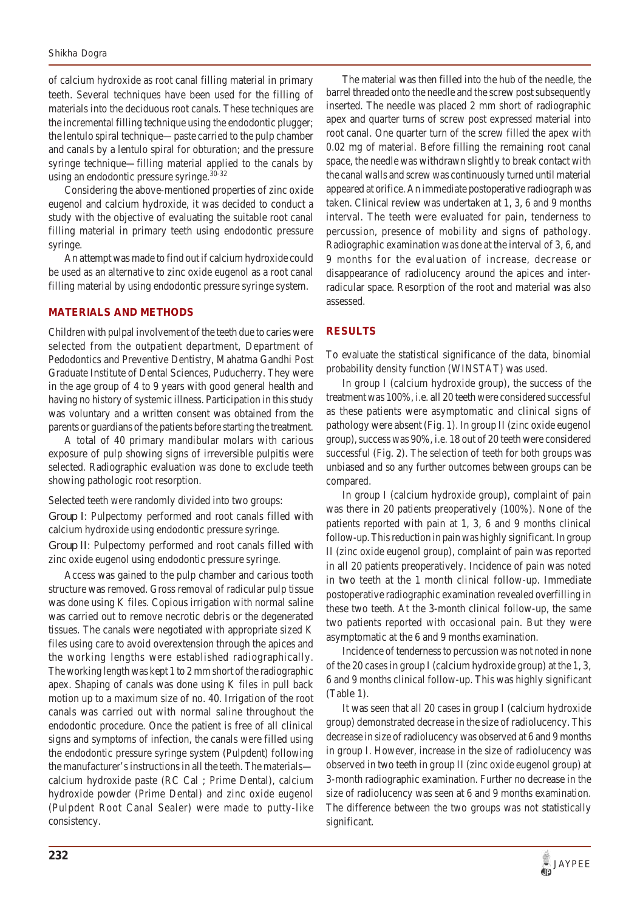of calcium hydroxide as root canal filling material in primary teeth. Several techniques have been used for the filling of materials into the deciduous root canals. These techniques are the incremental filling technique using the endodontic plugger; the lentulo spiral technique—paste carried to the pulp chamber and canals by a lentulo spiral for obturation; and the pressure syringe technique—filling material applied to the canals by using an endodontic pressure syringe.<sup>30-32</sup>

Considering the above-mentioned properties of zinc oxide eugenol and calcium hydroxide, it was decided to conduct a study with the objective of evaluating the suitable root canal filling material in primary teeth using endodontic pressure syringe.

An attempt was made to find out if calcium hydroxide could be used as an alternative to zinc oxide eugenol as a root canal filling material by using endodontic pressure syringe system.

#### **MATERIALS AND METHODS**

Children with pulpal involvement of the teeth due to caries were selected from the outpatient department, Department of Pedodontics and Preventive Dentistry, Mahatma Gandhi Post Graduate Institute of Dental Sciences, Puducherry. They were in the age group of 4 to 9 years with good general health and having no history of systemic illness. Participation in this study was voluntary and a written consent was obtained from the parents or guardians of the patients before starting the treatment.

A total of 40 primary mandibular molars with carious exposure of pulp showing signs of irreversible pulpitis were selected. Radiographic evaluation was done to exclude teeth showing pathologic root resorption.

Selected teeth were randomly divided into two groups:

*Group I*: Pulpectomy performed and root canals filled with calcium hydroxide using endodontic pressure syringe.

*Group II*: Pulpectomy performed and root canals filled with zinc oxide eugenol using endodontic pressure syringe.

Access was gained to the pulp chamber and carious tooth structure was removed. Gross removal of radicular pulp tissue was done using K files. Copious irrigation with normal saline was carried out to remove necrotic debris or the degenerated tissues. The canals were negotiated with appropriate sized K files using care to avoid overextension through the apices and the working lengths were established radiographically. The working length was kept 1 to 2 mm short of the radiographic apex. Shaping of canals was done using K files in pull back motion up to a maximum size of no. 40. Irrigation of the root canals was carried out with normal saline throughout the endodontic procedure. Once the patient is free of all clinical signs and symptoms of infection, the canals were filled using the endodontic pressure syringe system (Pulpdent) following the manufacturer's instructions in all the teeth. The materials calcium hydroxide paste (RC Cal ; Prime Dental), calcium hydroxide powder (Prime Dental) and zinc oxide eugenol (Pulpdent Root Canal Sealer) were made to putty-like consistency.

The material was then filled into the hub of the needle, the barrel threaded onto the needle and the screw post subsequently inserted. The needle was placed 2 mm short of radiographic apex and quarter turns of screw post expressed material into root canal. One quarter turn of the screw filled the apex with 0.02 mg of material. Before filling the remaining root canal space, the needle was withdrawn slightly to break contact with the canal walls and screw was continuously turned until material appeared at orifice. An immediate postoperative radiograph was taken. Clinical review was undertaken at 1, 3, 6 and 9 months interval. The teeth were evaluated for pain, tenderness to percussion, presence of mobility and signs of pathology. Radiographic examination was done at the interval of 3, 6, and 9 months for the evaluation of increase, decrease or disappearance of radiolucency around the apices and interradicular space. Resorption of the root and material was also assessed.

## **RESULTS**

To evaluate the statistical significance of the data, binomial probability density function (WINSTAT) was used.

In group I (calcium hydroxide group), the success of the treatment was 100%, i.e. all 20 teeth were considered successful as these patients were asymptomatic and clinical signs of pathology were absent (Fig. 1). In group II (zinc oxide eugenol group), success was 90%, i.e. 18 out of 20 teeth were considered successful (Fig. 2). The selection of teeth for both groups was unbiased and so any further outcomes between groups can be compared.

In group I (calcium hydroxide group), complaint of pain was there in 20 patients preoperatively (100%). None of the patients reported with pain at 1, 3, 6 and 9 months clinical follow-up. This reduction in pain was highly significant. In group II (zinc oxide eugenol group), complaint of pain was reported in all 20 patients preoperatively. Incidence of pain was noted in two teeth at the 1 month clinical follow-up. Immediate postoperative radiographic examination revealed overfilling in these two teeth. At the 3-month clinical follow-up, the same two patients reported with occasional pain. But they were asymptomatic at the 6 and 9 months examination.

Incidence of tenderness to percussion was not noted in none of the 20 cases in group I (calcium hydroxide group) at the 1, 3, 6 and 9 months clinical follow-up. This was highly significant (Table 1).

It was seen that all 20 cases in group I (calcium hydroxide group) demonstrated decrease in the size of radiolucency. This decrease in size of radiolucency was observed at 6 and 9 months in group I. However, increase in the size of radiolucency was observed in two teeth in group II (zinc oxide eugenol group) at 3-month radiographic examination. Further no decrease in the size of radiolucency was seen at 6 and 9 months examination. The difference between the two groups was not statistically significant.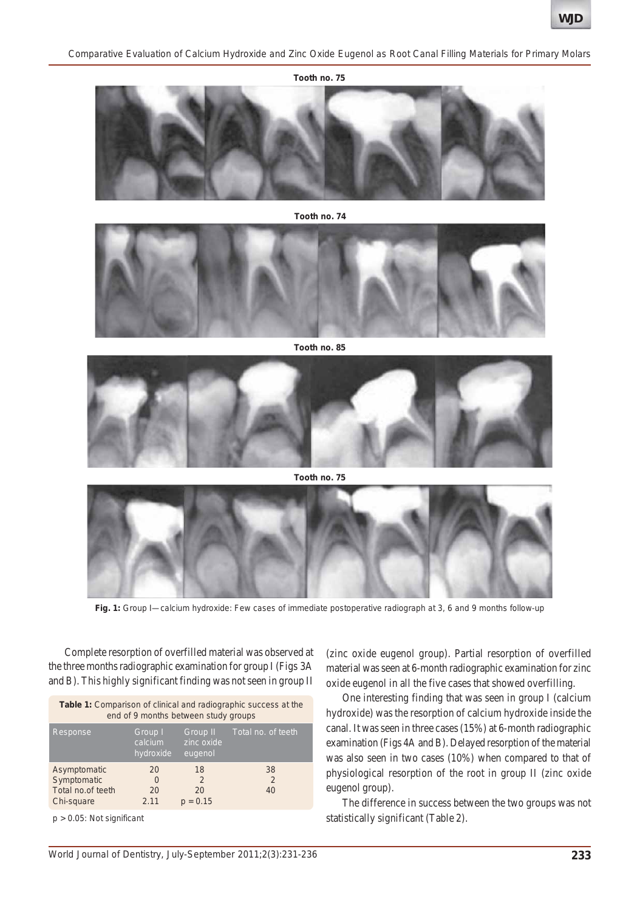*Comparative Evaluation of Calcium Hydroxide and Zinc Oxide Eugenol as Root Canal Filling Materials for Primary Molars*



**Tooth no. 74**



**Tooth no. 85**



**Tooth no. 75**



**Fig. 1:** Group I—calcium hydroxide: Few cases of immediate postoperative radiograph at 3, 6 and 9 months follow-up

Complete resorption of overfilled material was observed at the three months radiographic examination for group I (Figs 3A and B). This highly significant finding was not seen in group II

| <b>Table 1:</b> Comparison of clinical and radiographic success at the<br>end of 9 months between study groups |                                 |                                   |                    |  |  |
|----------------------------------------------------------------------------------------------------------------|---------------------------------|-----------------------------------|--------------------|--|--|
| Response                                                                                                       | Group I<br>calcium<br>hydroxide | Group II<br>zinc oxide<br>eugenol | Total no. of teeth |  |  |
| Asymptomatic                                                                                                   | 20                              | 18                                | 38                 |  |  |
| Symptomatic                                                                                                    | $\Omega$                        | $\mathcal{P}$                     | 2                  |  |  |
| Total no.of teeth                                                                                              | 20                              | 20                                | 40                 |  |  |
| Chi-square                                                                                                     | 2.11                            | $p = 0.15$                        |                    |  |  |

p > 0.05: Not significant

(zinc oxide eugenol group). Partial resorption of overfilled material was seen at 6-month radiographic examination for zinc oxide eugenol in all the five cases that showed overfilling.

One interesting finding that was seen in group I (calcium hydroxide) was the resorption of calcium hydroxide inside the canal. It was seen in three cases (15%) at 6-month radiographic examination (Figs 4A and B). Delayed resorption of the material was also seen in two cases (10%) when compared to that of physiological resorption of the root in group II (zinc oxide eugenol group).

The difference in success between the two groups was not statistically significant (Table 2).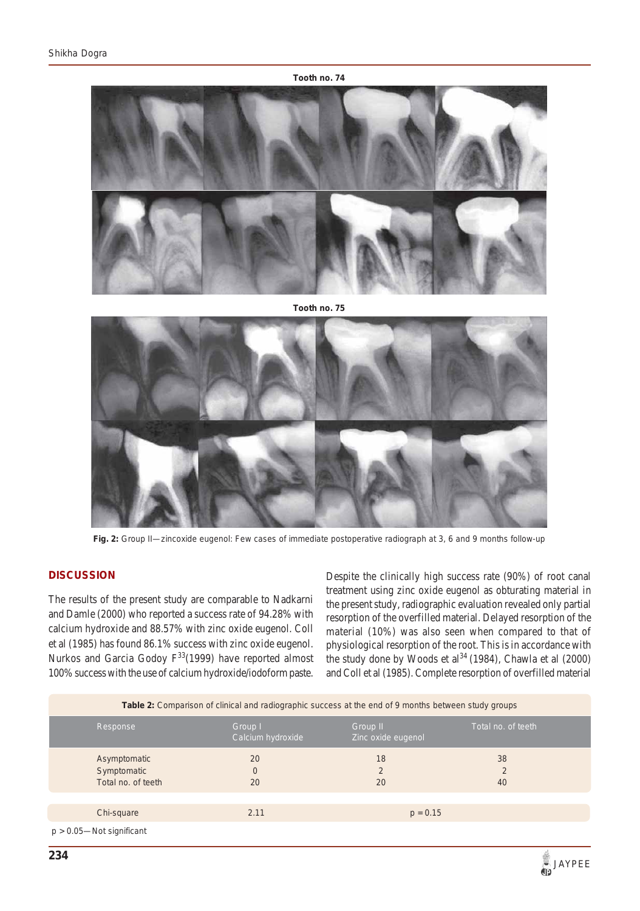



Fig. 2: Group II—zincoxide eugenol: Few cases of immediate postoperative radiograph at 3, 6 and 9 months follow-up

## **DISCUSSION**

The results of the present study are comparable to Nadkarni and Damle (2000) who reported a success rate of 94.28% with calcium hydroxide and 88.57% with zinc oxide eugenol. Coll et al (1985) has found 86.1% success with zinc oxide eugenol. Nurkos and Garcia Godoy  $F^{33}(1999)$  have reported almost 100% success with the use of calcium hydroxide/iodoform paste. Despite the clinically high success rate (90%) of root canal treatment using zinc oxide eugenol as obturating material in the present study, radiographic evaluation revealed only partial resorption of the overfilled material. Delayed resorption of the material (10%) was also seen when compared to that of physiological resorption of the root. This is in accordance with the study done by Woods et al<sup>34</sup> (1984), Chawla et al  $(2000)$ and Coll et al (1985). Complete resorption of overfilled material

| <b>Table 2:</b> Comparison of clinical and radiographic success at the end of 9 months between study groups |                              |                                |                    |  |  |
|-------------------------------------------------------------------------------------------------------------|------------------------------|--------------------------------|--------------------|--|--|
| Response                                                                                                    | Group I<br>Calcium hydroxide | Group II<br>Zinc oxide eugenol | Total no. of teeth |  |  |
| Asymptomatic<br>Symptomatic<br>Total no. of teeth                                                           | 20<br>$\overline{0}$<br>20   | 18<br>2<br>20                  | 38<br>2<br>40      |  |  |
| Chi-square                                                                                                  | 2.11                         | $p = 0.15$                     |                    |  |  |
| $p > 0.05$ —Not significant                                                                                 |                              |                                |                    |  |  |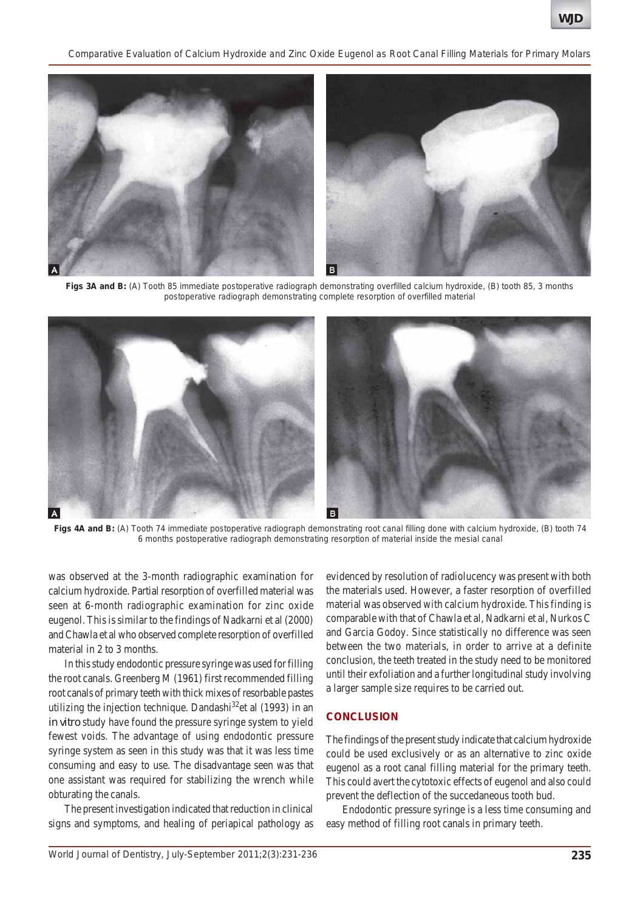*Comparative Evaluation of Calcium Hydroxide and Zinc Oxide Eugenol as Root Canal Filling Materials for Primary Molars*



**Figs 3A and B:** (A) Tooth 85 immediate postoperative radiograph demonstrating overfilled calcium hydroxide, (B) tooth 85, 3 months postoperative radiograph demonstrating complete resorption of overfilled material



**Figs 4A and B:** (A) Tooth 74 immediate postoperative radiograph demonstrating root canal filling done with calcium hydroxide, (B) tooth 74 6 months postoperative radiograph demonstrating resorption of material inside the mesial canal

was observed at the 3-month radiographic examination for calcium hydroxide. Partial resorption of overfilled material was seen at 6-month radiographic examination for zinc oxide eugenol. This is similar to the findings of Nadkarni et al (2000) and Chawla et al who observed complete resorption of overfilled material in 2 to 3 months.

In this study endodontic pressure syringe was used for filling the root canals. Greenberg M (1961) first recommended filling root canals of primary teeth with thick mixes of resorbable pastes utilizing the injection technique. Dandashi $32$ <sup>et</sup> al (1993) in an *in vitro* study have found the pressure syringe system to yield fewest voids. The advantage of using endodontic pressure syringe system as seen in this study was that it was less time consuming and easy to use. The disadvantage seen was that one assistant was required for stabilizing the wrench while obturating the canals.

The present investigation indicated that reduction in clinical signs and symptoms, and healing of periapical pathology as evidenced by resolution of radiolucency was present with both the materials used. However, a faster resorption of overfilled material was observed with calcium hydroxide. This finding is comparable with that of Chawla et al, Nadkarni et al, Nurkos C and Garcia Godoy. Since statistically no difference was seen between the two materials, in order to arrive at a definite conclusion, the teeth treated in the study need to be monitored until their exfoliation and a further longitudinal study involving a larger sample size requires to be carried out.

### **CONCLUSION**

The findings of the present study indicate that calcium hydroxide could be used exclusively or as an alternative to zinc oxide eugenol as a root canal filling material for the primary teeth. This could avert the cytotoxic effects of eugenol and also could prevent the deflection of the succedaneous tooth bud.

Endodontic pressure syringe is a less time consuming and easy method of filling root canals in primary teeth.